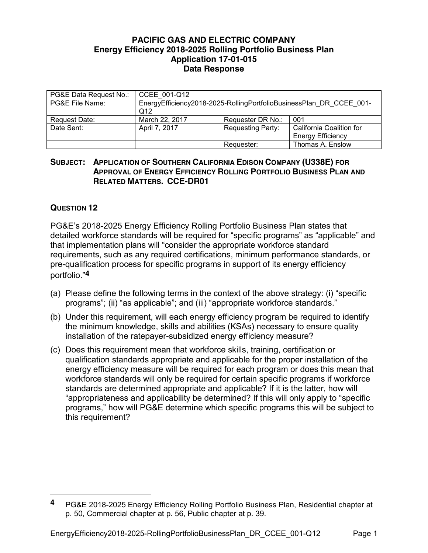## **PACIFIC GAS AND ELECTRIC COMPANY Energy Efficiency 2018-2025 Rolling Portfolio Business Plan Application 17-01-015 Data Response**

| PG&E Data Request No.: | CCEE 001-Q12                                                               |                          |                                                      |
|------------------------|----------------------------------------------------------------------------|--------------------------|------------------------------------------------------|
| PG&E File Name:        | EnergyEfficiency2018-2025-RollingPortfolioBusinessPlan DR CCEE 001-<br>Q12 |                          |                                                      |
| Request Date:          | March 22, 2017                                                             | Requester DR No.:        | 001                                                  |
| Date Sent:             | April 7, 2017                                                              | <b>Requesting Party:</b> | California Coalition for<br><b>Energy Efficiency</b> |
|                        |                                                                            | Requester:               | Thomas A. Enslow                                     |

## **SUBJECT: APPLICATION OF SOUTHERN CALIFORNIA EDISON COMPANY (U338E) FOR APPROVAL OF ENERGY EFFICIENCY ROLLING PORTFOLIO BUSINESS PLAN AND RELATED MATTERS. CCE-DR01**

## **QUESTION 12**

 $\overline{a}$ 

PG&E's 2018-2025 Energy Efficiency Rolling Portfolio Business Plan states that detailed workforce standards will be required for "specific programs" as "applicable" and that implementation plans will "consider the appropriate workforce standard requirements, such as any required certifications, minimum performance standards, or pre-qualification process for specific programs in support of its energy efficiency portfolio."**4**

- (a) Please define the following terms in the context of the above strategy: (i) "specific programs"; (ii) "as applicable"; and (iii) "appropriate workforce standards."
- (b) Under this requirement, will each energy efficiency program be required to identify the minimum knowledge, skills and abilities (KSAs) necessary to ensure quality installation of the ratepayer-subsidized energy efficiency measure?
- (c) Does this requirement mean that workforce skills, training, certification or qualification standards appropriate and applicable for the proper installation of the energy efficiency measure will be required for each program or does this mean that workforce standards will only be required for certain specific programs if workforce standards are determined appropriate and applicable? If it is the latter, how will "appropriateness and applicability be determined? If this will only apply to "specific programs," how will PG&E determine which specific programs this will be subject to this requirement?

**<sup>4</sup>** PG&E 2018-2025 Energy Efficiency Rolling Portfolio Business Plan, Residential chapter at p. 50, Commercial chapter at p. 56, Public chapter at p. 39.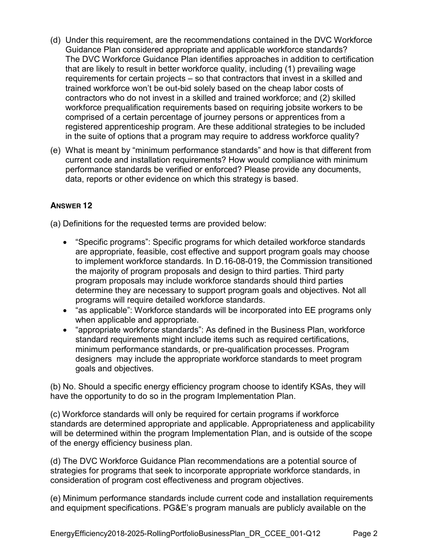- (d) Under this requirement, are the recommendations contained in the DVC Workforce Guidance Plan considered appropriate and applicable workforce standards? The DVC Workforce Guidance Plan identifies approaches in addition to certification that are likely to result in better workforce quality, including (1) prevailing wage requirements for certain projects – so that contractors that invest in a skilled and trained workforce won't be out-bid solely based on the cheap labor costs of contractors who do not invest in a skilled and trained workforce; and (2) skilled workforce prequalification requirements based on requiring jobsite workers to be comprised of a certain percentage of journey persons or apprentices from a registered apprenticeship program. Are these additional strategies to be included in the suite of options that a program may require to address workforce quality?
- (e) What is meant by "minimum performance standards" and how is that different from current code and installation requirements? How would compliance with minimum performance standards be verified or enforced? Please provide any documents, data, reports or other evidence on which this strategy is based.

## **ANSWER 12**

(a) Definitions for the requested terms are provided below:

- "Specific programs": Specific programs for which detailed workforce standards are appropriate, feasible, cost effective and support program goals may choose to implement workforce standards. In D.16-08-019, the Commission transitioned the majority of program proposals and design to third parties. Third party program proposals may include workforce standards should third parties determine they are necessary to support program goals and objectives. Not all programs will require detailed workforce standards.
- "as applicable": Workforce standards will be incorporated into EE programs only when applicable and appropriate.
- "appropriate workforce standards": As defined in the Business Plan, workforce standard requirements might include items such as required certifications, minimum performance standards, or pre-qualification processes. Program designers may include the appropriate workforce standards to meet program goals and objectives.

(b) No. Should a specific energy efficiency program choose to identify KSAs, they will have the opportunity to do so in the program Implementation Plan.

(c) Workforce standards will only be required for certain programs if workforce standards are determined appropriate and applicable. Appropriateness and applicability will be determined within the program Implementation Plan, and is outside of the scope of the energy efficiency business plan.

(d) The DVC Workforce Guidance Plan recommendations are a potential source of strategies for programs that seek to incorporate appropriate workforce standards, in consideration of program cost effectiveness and program objectives.

(e) Minimum performance standards include current code and installation requirements and equipment specifications. PG&E's program manuals are publicly available on the